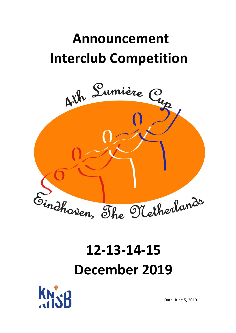# **Announcement Interclub Competition**



# **12-13-14-15 December 2019**



Date, June 5, 2019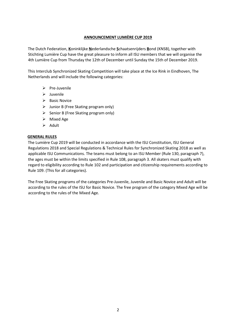#### **ANNOUNCEMENT LUMIÈRE CUP 2019**

The Dutch Federation, **K**oninklijke **N**ederlandsche **S**chaatsenrijders **B**ond (KNSB), together with Stichting Lumière Cup have the great pleasure to inform all ISU members that we will organise the 4th Lumière Cup from Thursday the 12th of December until Sunday the 15th of December 2019.

This Interclub Synchronized Skating Competition will take place at the Ice Rink in Eindhoven, The Netherlands and will include the following categories:

- $\triangleright$  Pre-Juvenile
- $\triangleright$  Juvenile
- $\triangleright$  Basic Novice
- $\triangleright$  Junior B (Free Skating program only)
- $\triangleright$  Senior B (Free Skating program only)
- $\triangleright$  Mixed Age
- $\triangleright$  Adult

#### **GENERAL RULES**

The Lumière Cup 2019 will be conducted in accordance with the ISU Constitution, ISU General Regulations 2018 and Special Regulations & Technical Rules for Synchronized Skating 2018 as well as applicable ISU Communications. The teams must belong to an ISU Member (Rule 130, paragraph 7), the ages must be within the limits specified in Rule 108, paragraph 3. All skaters must qualify with regard to eligibility according to Rule 102 and participation and citizenship requirements according to Rule 109. (This for all categories).

The Free Skating programs of the categories Pre-Juvenile, Juvenile and Basic Novice and Adult will be according to the rules of the ISU for Basic Novice. The free program of the category Mixed Age will be according to the rules of the Mixed Age.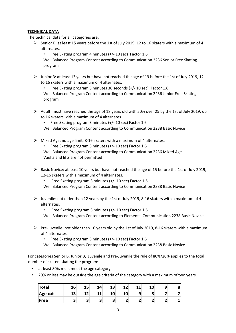#### **TECHNICAL DATA**

The technical data for all categories are:

Senior B: at least 15 years before the 1st of July 2019, 12 to 16 skaters with a maximum of 4 alternates.

• Free Skating program 4 minutes (+/- 10 sec) Factor 1.6 Well Balanced Program Content according to Communication 2236 Senior Free Skating program

 Junior B: at least 13 years but have not reached the age of 19 before the 1st of July 2019, 12 to 16 skaters with a maximum of 4 alternates.

• Free Skating program 3 minutes 30 seconds (+/- 10 sec) Factor 1.6 Well Balanced Program Content according to Communication 2236 Junior Free Skating program

 $\triangleright$  Adult: must have reached the age of 18 years old with 50% over 25 by the 1st of July 2019, up to 16 skaters with a maximum of 4 alternates.

• Free Skating program 3 minutes (+/- 10 sec) Factor 1.6 Well Balanced Program Content according to Communication 2238 Basic Novice

- $\triangleright$  Mixed Age: no age limit, 8-16 skaters with a maximum of 4 alternates,
	- Free Skating program 3 minutes (+/- 10 sec**)** Factor 1.6
	- Well Balanced Program Content according to Communication 2236 Mixed Age Vaults and lifts are not permitted
- $\triangleright$  Basic Novice: at least 10 years but have not reached the age of 15 before the 1st of July 2019, 12-16 skaters with a maximum of 4 alternates.
	- Free Skating program 3 minutes (+/- 10 sec) Factor 1.6

Well Balanced Program Content according to Communication 2338 Basic Novice

- $\triangleright$  Juvenile: not older than 12 years by the 1st of July 2019, 8-16 skaters with a maximum of 4 alternates.
	- Free Skating program 3 minutes (+/- 10 sec**)** Factor 1.6

Well Balanced Program Content according to Elements: Communication 2238 Basic Novice

 $\triangleright$  Pre-Juvenile: not older than 10 years old by the 1st of July 2019, 8-16 skaters with a maximum of 4 alternates.

• Free Skating program 3 minutes (+/- 10 sec**)** Factor 1.6

Well Balanced Program Content according to Communication 2238 Basic Novice

For categories Senior B, Junior B, Juvenile and Pre-Juvenile the rule of 80%/20% applies to the total number of skaters skating the program:

- at least 80% must meet the age category
- 20% or less may be outside the age criteria of the category with a maximum of two years.

| <b>Total</b> | 16 | 15 | 14 | 13 | 1つ<br>-- | 11 | q |  |
|--------------|----|----|----|----|----------|----|---|--|
| Age cat      | 13 |    | 11 | 1Λ | 10       |    |   |  |
| Free         |    |    | ÷  |    |          |    |   |  |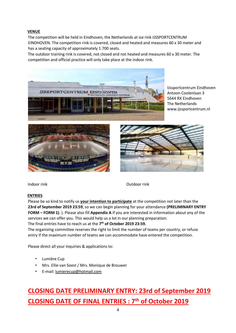#### **VENUE**

The competition will be held in Eindhoven, the Netherlands at ice rink IJSSPORTCENTRUM EINDHOVEN. The competition rink is covered, closed and heated and measures 60 x 30 meter and has a seating capacity of approximately 1.700 seats.

The outdoor training rink is covered, not closed and not heated and measures 60 x 30 meter. The competition and official practice will only take place at the indoor rink.



IJssportcentrum Eindhoven Antoon Coolenlaan 3 5644 RX Eindhoven The Netherlands www.ijssportcentrum.nl





Indoor rink Outdoor rink

#### **ENTRIES**

Please be so kind to notify us **your intention to participate** at the competition not later than the **23rd of September 2019 23:59**, so we can begin planning for your attendance **(PRELIMINARY ENTRY FORM – FORM 1)**. ). Please also fill **Appendix A** if you are interested in information about any of the services we can offer you. This would help us a lot in our planning preparation.

The final entries have to reach us at the **7 th of October 2019 23:59.**

The organizing committee reserves the right to limit the number of teams per country, or refuse entry if the maximum number of teams we can accommodate have entered the competition.

Please direct all your inquiries & applications to:

- Lumière Cup
- Mrs. Ellie van Soest / Mrs. Monique de Brouwer
- E-mail: lumierecup@hotmail.com

### **CLOSING DATE PRELIMINARY ENTRY: 23rd of September 2019 CLOSING DATE OF FINAL ENTRIES : 7th of October 2019**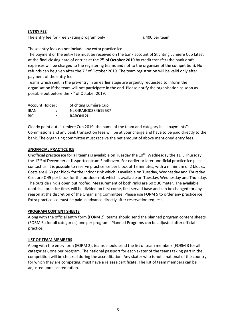#### **ENTRY FEE**

The entry fee for Free Skating program only  $\mathbf{F} \in \mathcal{L}$  =  $\mathbf{F}$  400 per team

These entry fees do not include any extra practice ice.

The payment of the entry fee must be received on the bank account of Stichting Lumière Cup latest at the final closing date of entries at the 7<sup>th</sup> of October 2019 by credit transfer (the bank draft expenses will be charged to the registering teams and not to the organiser of the competition). No refunds can be given after the  $7<sup>th</sup>$  of October 2019. The team registration will be valid only after payment of the entry fee.

Teams which sent in the pre-entry in an earlier stage are urgently requested to inform the organisation if the team will not participate in the end. Please notify the organisation as soon as possible but before the 7<sup>th</sup> of October 2019.

| Account Holder: |   | Stichting Lumière Cup |  |
|-----------------|---|-----------------------|--|
| <b>IBAN</b>     | ٠ | NL84RABO0334619637    |  |
| <b>BIC</b>      | ٠ | RABONL2U              |  |

Clearly point out: "Lumière Cup 2019, the name of the team and category in all payments". Commissions and any bank transaction fees will be at your charge and have to be paid directly to the bank. The organizing committee must receive the net amount of above mentioned entry fees.

#### **UNOFFICIAL PRACTICE ICE**

Unofficial practice ice for all teams is available on Tuesday the  $10^{th}$ . Wednesday the  $11^{th}$ . Thursday the 12<sup>th</sup> of December at IJssportcentrum Eindhoven. For earlier or later unofficial practice ice please contact us. It is possible to reserve practice ice per block of 15 minutes, with a minimum of 2 blocks. Costs are € 60 per block for the indoor rink which is available on Tuesday, Wednesday and Thursday . Cost are € 45 per block for the outdoor rink which is available on Tuesday, Wednesday and Thursday. The outside rink is open but roofed. Measurement of both rinks are 60 x 30 meter. The available unofficial practice time, will be divided on first come, first served base and can be changed for any reason at the discretion of the Organizing Committee. Please use FORM 5 to order any practice ice. Extra practice ice must be paid in advance directly after reservation request.

#### **PROGRAM CONTENT SHEETS**

Along with the official entry form (FORM 2), teams should send the planned program content sheets (FORM 6a for all categories) one per program. Planned Programs can be adjusted after official practice.

#### **LIST OF TEAM MEMBERS**

Along with the entry form (FORM 2), teams should send the list of team members (FORM 3 for all categories), one per program. The national passport for each skater of the teams taking part in the competition will be checked during the accreditation. Any skater who is not a national of the country for which they are competing, must have a release certificate. The list of team members can be adjusted upon accreditation.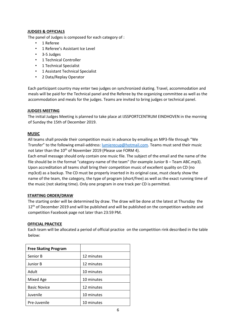#### **JUDGES & OFFICIALS**

The panel of Judges is composed for each category of :

- 1 Referee
- 1 Referee's Assistant Ice Level
- 3-5 Judges
- 1 Technical Controller
- 1 Technical Specialist
- 1 Assistant Technical Specialist
- 2 Data/Replay Operator

Each participant country may enter two judges on synchronized skating. Travel, accommodation and meals will be paid for the Technical panel and the Referee by the organizing committee as well as the accommodation and meals for the judges. Teams are invited to bring judges or technical panel.

#### **JUDGES MEETING**

The initial Judges Meeting is planned to take place at IJSSPORTCENTRUM EINDHOVEN in the morning of Sunday the 15th of December 2019.

#### **MUSIC**

All teams shall provide their competition music in advance by emailing an MP3-file through "We Transfer" to the following email-address: lumierecup@hotmail.com. Teams must send their music not later than the 10<sup>th</sup> of November 2019 (Please use FORM 4).

Each email message should only contain one music file. The subject of the email and the name of the file should be in the format "category-name of the team" (for example Junior B – Team ABC.mp3). Upon accreditation all teams shall bring their competition music of excellent quality on CD (no mp3cd) as a backup. The CD must be properly inserted in its original case, must clearly show the name of the team, the category, the type of program (short/free) as well as the exact running time of the music (not skating time). Only one program in one track per CD is permitted.

#### **STARTING ORDER/DRAW**

The starting order will be determined by draw. The draw will be done at the latest at Thursday the 12<sup>th</sup> of December 2019 and will be published and will be published on the competition website and competition Facebook page not later than 23:59 PM.

#### **OFFICIAL PRACTICE**

Each team will be allocated a period of official practice on the competition rink described in the table below:

| <b>Free Skating Program</b> |            |
|-----------------------------|------------|
| Senior B                    | 12 minutes |
| Junior B                    | 12 minutes |
| Adult                       | 10 minutes |
| Mixed Age                   | 10 minutes |
| <b>Basic Novice</b>         | 12 minutes |
| Juvenile                    | 10 minutes |
| Pre-Juvenile                | 10 minutes |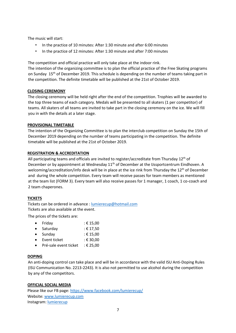The music will start:

- In the practice of 10 minutes: After 1:30 minute and after 6:00 minutes
- In the practice of 12 minutes: After 1:30 minute and after 7:00 minutes

The competition and official practice will only take place at the indoor rink.

The intention of the organizing committee is to plan the official practice of the Free Skating programs on Sunday 15th of December 2019. This schedule is depending on the number of teams taking part in the competition. The definite timetable will be published at the 21st of October 2019.

#### **CLOSING CEREMONY**

The closing ceremony will be held right after the end of the competition. Trophies will be awarded to the top three teams of each category. Medals will be presented to all skaters (1 per competitor) of teams. All skaters of all teams are invited to take part in the closing ceremony on the ice. We will fill you in with the details at a later stage.

#### **PROVISIONAL TIMETABLE**

The intention of the Organizing Committee is to plan the interclub competition on Sunday the 15th of December 2019 depending on the number of teams participating in the competition. The definite timetable will be published at the 21st of October 2019.

#### **REGISTRATION & ACCREDITATION**

All participating teams and officials are invited to register/accreditate from Thursday 12<sup>th</sup> of December or by appointment at Wednesday  $11<sup>th</sup>$  of December at the IJssportcentrum Eindhoven. A welcoming/accreditation/info desk will be in place at the ice rink from Thursday the 12<sup>th</sup> of December and during the whole competition. Every team will receive passes for team members as mentioned at the team list (FORM 3). Every team will also receive passes for 1 manager, 1 coach, 1 co-coach and 2 team chaperones.

#### **TICKETS**

Tickets can be ordered in advance : [lumierecup@hotmail.com](mailto:lumierecup@hotmail.com) Tickets are also available at the event.

The prices of the tickets are:

| $\bullet$ | Friday   | : € 15,00 |
|-----------|----------|-----------|
| $\bullet$ | Saturday | ∶€ 17,50  |

- $\bullet$  Sunday : € 15,00
- Event ticket : € 30,00
- $\bullet$  Pré-sale event ticket : € 25.00

#### **DOPING**

An anti-doping control can take place and will be in accordance with the valid ISU Anti-Doping Rules (ISU Communication No. 2213-2243). It is also not permitted to use alcohol during the competition by any of the competitors.

#### **OFFICIAL SOCIAL MEDIA**

Please like our FB page:<https://www.facebook.com/lumierecup/> Website: [www.lumierecup.com](http://www.lumierecup.com/) Instagram[: lumierecup](https://www.instagram.com/lumierecup/?hl=nl)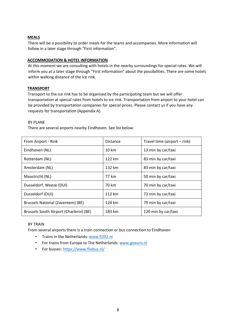#### **MEALS**

There will be a possibility to order meals for the teams and accompanies. More information will follow in a later stage through "First information".

#### **ACCOMMODATION & HOTEL INFORMATION**

At this moment we are consulting with hotels in the nearby surroundings for special rates. We will inform you at a later stage through "First information" about the possibilities. There are some hotels within walking distance of the ice rink.

#### **TRANSPORT**

Transport to the ice rink has to be organised by the participating team but we will offer transportation at special rates from hotels to ice rink. Transportation from airport to your hotel can be provided by transportation companies for special prices. Please contact us if you have any requests for transportation (Appendix A).

#### BY PLANE

There are several airports nearby Eindhoven. See list below:

| From Airport - Rink                     | <b>Distance</b>  | Travel time (airport - rink) |
|-----------------------------------------|------------------|------------------------------|
| Eindhoven (NL)                          | $10 \mathrm{km}$ | 13 min by car/taxi           |
| Rotterdam (NL)                          | 122 km           | 83 min by car/taxi           |
| Amsterdam (NL)                          | 132 km           | 83 min by car/taxi           |
| Maastricht (NL)                         | 77 km            | 50 min by car/taxi           |
| Dusseldorf, Weeze (DUI)                 | 70 km            | 70 min by car/taxi           |
| Dusseldorf (DUI)                        | 112 km           | 73 min by car/taxi           |
| Brussels National (Zaventem) (BE)       | 124 km           | 79 min by car/taxi           |
| Brussels South Airport (Charleroi) (BE) | 183 km           | 120 min by car/taxi          |

#### BY TRAIN

From several airports there is a train connection or bus connection to Eindhoven

- Trains in the Netherlands: www.9292.nl
- For trains from Europe to The Netherlands[: www.goeuro.nl](http://www.goeuro.nl/)
- For busses[: https://www.flixbus.nl/](https://www.flixbus.nl/)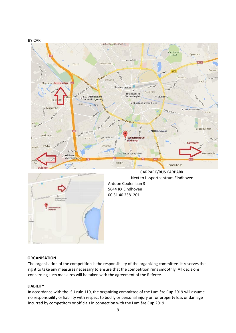



#### **ORGANISATION**

The organisation of the competition is the responsibility of the organizing committee. It reserves the right to take any measures necessary to ensure that the competition runs smoothly. All decisions concerning such measures will be taken with the agreement of the Referee.

#### **LIABILITY**

In accordance with the ISU rule 119, the organizing committee of the Lumière Cup 2019 will assume no responsibility or liability with respect to bodily or personal injury or for property loss or damage incurred by competitors or officials in connection with the Lumière Cup 2019.